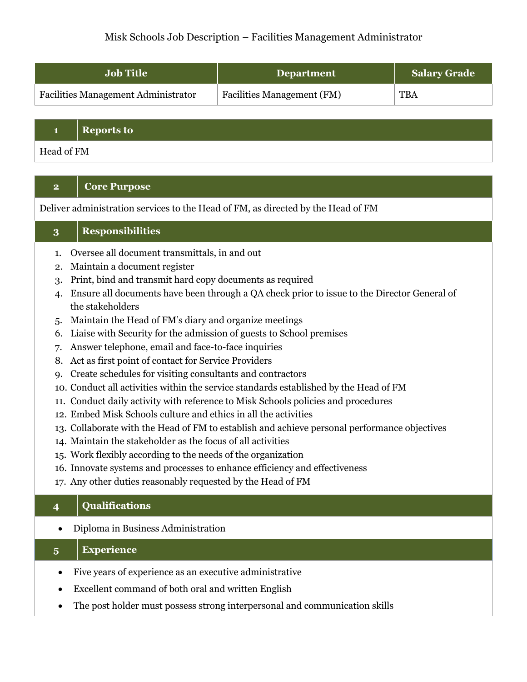# Misk Schools Job Description – Facilities Management Administrator

| <b>Job Title</b>                           | <b>Department</b>                 | <b>Salary Grade</b> |
|--------------------------------------------|-----------------------------------|---------------------|
| <b>Facilities Management Administrator</b> | <b>Facilities Management (FM)</b> | <b>TBA</b>          |

#### **1 Reports to**

Head of FM

## **2 Core Purpose**

Deliver administration services to the Head of FM, as directed by the Head of FM

### **3 Responsibilities**

- 1. Oversee all document transmittals, in and out
- 2. Maintain a document register
- 3. Print, bind and transmit hard copy documents as required
- 4. Ensure all documents have been through a QA check prior to issue to the Director General of the stakeholders
- 5. Maintain the Head of FM's diary and organize meetings
- 6. Liaise with Security for the admission of guests to School premises
- 7. Answer telephone, email and face-to-face inquiries
- 8. Act as first point of contact for Service Providers
- 9. Create schedules for visiting consultants and contractors
- 10. Conduct all activities within the service standards established by the Head of FM
- 11. Conduct daily activity with reference to Misk Schools policies and procedures
- 12. Embed Misk Schools culture and ethics in all the activities
- 13. Collaborate with the Head of FM to establish and achieve personal performance objectives
- 14. Maintain the stakeholder as the focus of all activities
- 15. Work flexibly according to the needs of the organization
- 16. Innovate systems and processes to enhance efficiency and effectiveness
- 17. Any other duties reasonably requested by the Head of FM

### **4 Qualifications**

• Diploma in Business Administration

## **5 Experience**

- Five years of experience as an executive administrative
- Excellent command of both oral and written English
- The post holder must possess strong interpersonal and communication skills